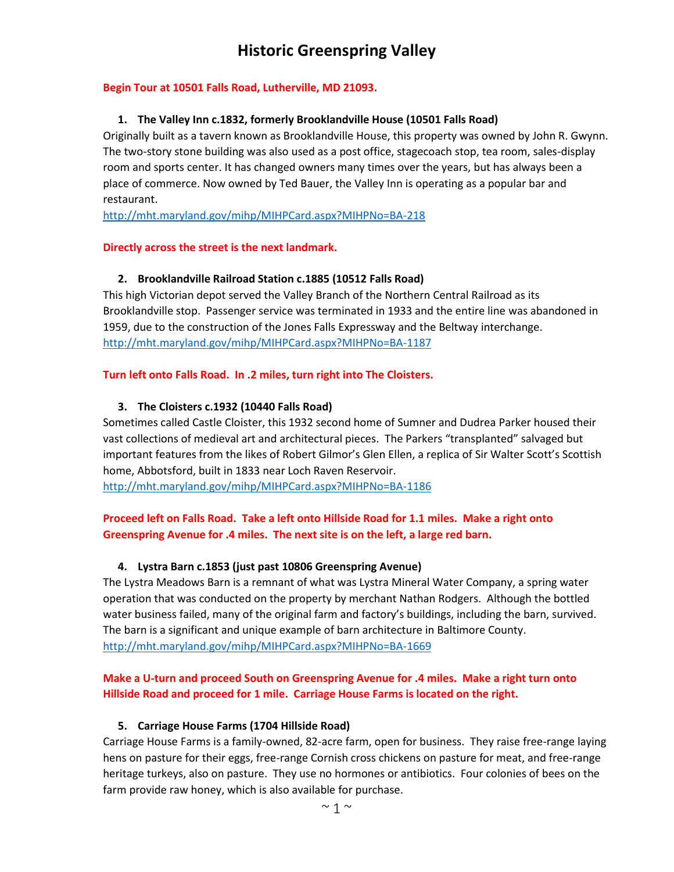# **Historic Greenspring Valley**

#### **Begin Tour at 10501 Falls Road, Lutherville, MD 21093.**

#### **1. The Valley Inn c.1832, formerly Brooklandville House (10501 Falls Road)**

Originally built as a tavern known as Brooklandville House, this property was owned by John R. Gwynn. The two-story stone building was also used as a post office, stagecoach stop, tea room, sales-display room and sports center. It has changed owners many times over the years, but has always been a place of commerce. Now owned by Ted Bauer, the Valley Inn is operating as a popular bar and restaurant.

<http://mht.maryland.gov/mihp/MIHPCard.aspx?MIHPNo=BA-218>

#### **Directly across the street is the next landmark.**

# **2. Brooklandville Railroad Station c.1885 (10512 Falls Road)**

This high Victorian depot served the Valley Branch of the Northern Central Railroad as its Brooklandville stop. Passenger service was terminated in 1933 and the entire line was abandoned in 1959, due to the construction of the Jones Falls Expressway and the Beltway interchange. <http://mht.maryland.gov/mihp/MIHPCard.aspx?MIHPNo=BA-1187>

#### **Turn left onto Falls Road. In .2 miles, turn right into The Cloisters.**

# **3. The Cloisters c.1932 (10440 Falls Road)**

Sometimes called Castle Cloister, this 1932 second home of Sumner and Dudrea Parker housed their vast collections of medieval art and architectural pieces. The Parkers "transplanted" salvaged but important features from the likes of Robert Gilmor's Glen Ellen, a replica of Sir Walter Scott's Scottish home, Abbotsford, built in 1833 near Loch Raven Reservoir.

<http://mht.maryland.gov/mihp/MIHPCard.aspx?MIHPNo=BA-1186>

# **Proceed left on Falls Road. Take a left onto Hillside Road for 1.1 miles. Make a right onto Greenspring Avenue for .4 miles. The next site is on the left, a large red barn.**

# **4. Lystra Barn c.1853 (just past 10806 Greenspring Avenue)**

The Lystra Meadows Barn is a remnant of what was Lystra Mineral Water Company, a spring water operation that was conducted on the property by merchant Nathan Rodgers. Although the bottled water business failed, many of the original farm and factory's buildings, including the barn, survived. The barn is a significant and unique example of barn architecture in Baltimore County. <http://mht.maryland.gov/mihp/MIHPCard.aspx?MIHPNo=BA-1669>

# **Make a U-turn and proceed South on Greenspring Avenue for .4 miles. Make a right turn onto Hillside Road and proceed for 1 mile. Carriage House Farms is located on the right.**

#### **5. Carriage House Farms (1704 Hillside Road)**

Carriage House Farms is a family-owned, 82-acre farm, open for business. They raise free-range laying hens on pasture for their eggs, free-range Cornish cross chickens on pasture for meat, and free-range heritage turkeys, also on pasture. They use no hormones or antibiotics. Four colonies of bees on the farm provide raw honey, which is also available for purchase.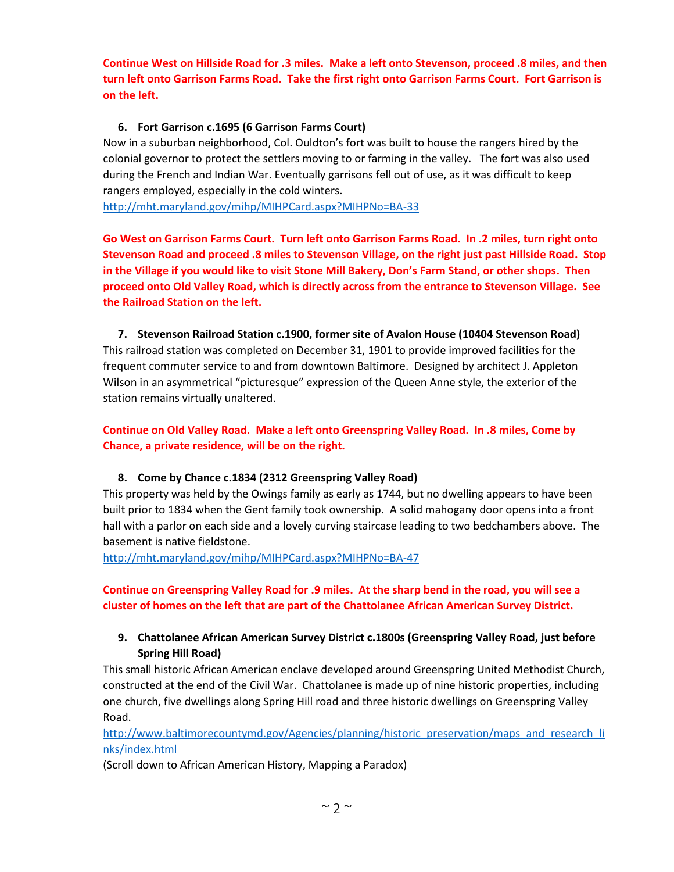**Continue West on Hillside Road for .3 miles. Make a left onto Stevenson, proceed .8 miles, and then turn left onto Garrison Farms Road. Take the first right onto Garrison Farms Court. Fort Garrison is on the left.**

# **6. Fort Garrison c.1695 (6 Garrison Farms Court)**

Now in a suburban neighborhood, Col. Ouldton's fort was built to house the rangers hired by the colonial governor to protect the settlers moving to or farming in the valley. The fort was also used during the French and Indian War. Eventually garrisons fell out of use, as it was difficult to keep rangers employed, especially in the cold winters.

<http://mht.maryland.gov/mihp/MIHPCard.aspx?MIHPNo=BA-33>

**Go West on Garrison Farms Court. Turn left onto Garrison Farms Road. In .2 miles, turn right onto Stevenson Road and proceed .8 miles to Stevenson Village, on the right just past Hillside Road. Stop in the Village if you would like to visit Stone Mill Bakery, Don's Farm Stand, or other shops. Then proceed onto Old Valley Road, which is directly across from the entrance to Stevenson Village. See the Railroad Station on the left.**

**7. Stevenson Railroad Station c.1900, former site of Avalon House (10404 Stevenson Road)** This railroad station was completed on December 31, 1901 to provide improved facilities for the frequent commuter service to and from downtown Baltimore. Designed by architect J. Appleton Wilson in an asymmetrical "picturesque" expression of the Queen Anne style, the exterior of the station remains virtually unaltered.

**Continue on Old Valley Road. Make a left onto Greenspring Valley Road. In .8 miles, Come by Chance, a private residence, will be on the right.** 

# **8. Come by Chance c.1834 (2312 Greenspring Valley Road)**

This property was held by the Owings family as early as 1744, but no dwelling appears to have been built prior to 1834 when the Gent family took ownership. A solid mahogany door opens into a front hall with a parlor on each side and a lovely curving staircase leading to two bedchambers above. The basement is native fieldstone.

<http://mht.maryland.gov/mihp/MIHPCard.aspx?MIHPNo=BA-47>

**Continue on Greenspring Valley Road for .9 miles. At the sharp bend in the road, you will see a cluster of homes on the left that are part of the Chattolanee African American Survey District.** 

# **9. Chattolanee African American Survey District c.1800s (Greenspring Valley Road, just before Spring Hill Road)**

This small historic African American enclave developed around Greenspring United Methodist Church, constructed at the end of the Civil War. Chattolanee is made up of nine historic properties, including one church, five dwellings along Spring Hill road and three historic dwellings on Greenspring Valley Road.

[http://www.baltimorecountymd.gov/Agencies/planning/historic\\_preservation/maps\\_and\\_research\\_li](http://www.baltimorecountymd.gov/Agencies/planning/historic_preservation/maps_and_research_links/index.html) [nks/index.html](http://www.baltimorecountymd.gov/Agencies/planning/historic_preservation/maps_and_research_links/index.html)

(Scroll down to African American History, Mapping a Paradox)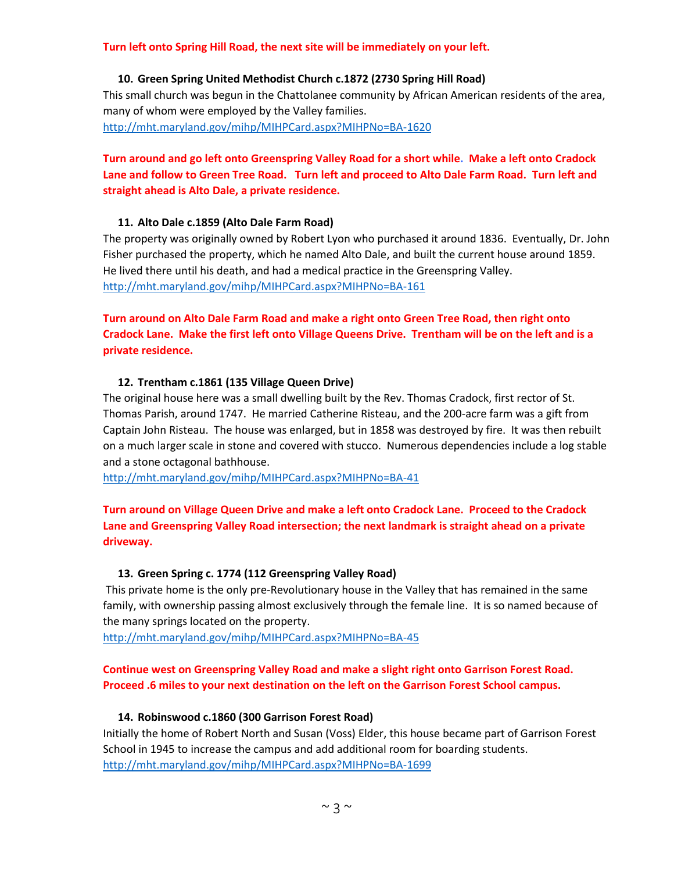#### **Turn left onto Spring Hill Road, the next site will be immediately on your left.**

#### **10. Green Spring United Methodist Church c.1872 (2730 Spring Hill Road)**

This small church was begun in the Chattolanee community by African American residents of the area, many of whom were employed by the Valley families. <http://mht.maryland.gov/mihp/MIHPCard.aspx?MIHPNo=BA-1620>

# **Turn around and go left onto Greenspring Valley Road for a short while. Make a left onto Cradock Lane and follow to Green Tree Road. Turn left and proceed to Alto Dale Farm Road. Turn left and straight ahead is Alto Dale, a private residence.**

#### **11. Alto Dale c.1859 (Alto Dale Farm Road)**

The property was originally owned by Robert Lyon who purchased it around 1836. Eventually, Dr. John Fisher purchased the property, which he named Alto Dale, and built the current house around 1859. He lived there until his death, and had a medical practice in the Greenspring Valley. <http://mht.maryland.gov/mihp/MIHPCard.aspx?MIHPNo=BA-161>

**Turn around on Alto Dale Farm Road and make a right onto Green Tree Road, then right onto Cradock Lane. Make the first left onto Village Queens Drive. Trentham will be on the left and is a private residence.** 

#### **12. Trentham c.1861 (135 Village Queen Drive)**

The original house here was a small dwelling built by the Rev. Thomas Cradock, first rector of St. Thomas Parish, around 1747. He married Catherine Risteau, and the 200-acre farm was a gift from Captain John Risteau. The house was enlarged, but in 1858 was destroyed by fire. It was then rebuilt on a much larger scale in stone and covered with stucco. Numerous dependencies include a log stable and a stone octagonal bathhouse.

<http://mht.maryland.gov/mihp/MIHPCard.aspx?MIHPNo=BA-41>

# **Turn around on Village Queen Drive and make a left onto Cradock Lane. Proceed to the Cradock Lane and Greenspring Valley Road intersection; the next landmark is straight ahead on a private driveway.**

#### **13. Green Spring c. 1774 (112 Greenspring Valley Road)**

This private home is the only pre-Revolutionary house in the Valley that has remained in the same family, with ownership passing almost exclusively through the female line. It is so named because of the many springs located on the property.

<http://mht.maryland.gov/mihp/MIHPCard.aspx?MIHPNo=BA-45>

# **Continue west on Greenspring Valley Road and make a slight right onto Garrison Forest Road. Proceed .6 miles to your next destination on the left on the Garrison Forest School campus.**

#### **14. Robinswood c.1860 (300 Garrison Forest Road)**

Initially the home of Robert North and Susan (Voss) Elder, this house became part of Garrison Forest School in 1945 to increase the campus and add additional room for boarding students. <http://mht.maryland.gov/mihp/MIHPCard.aspx?MIHPNo=BA-1699>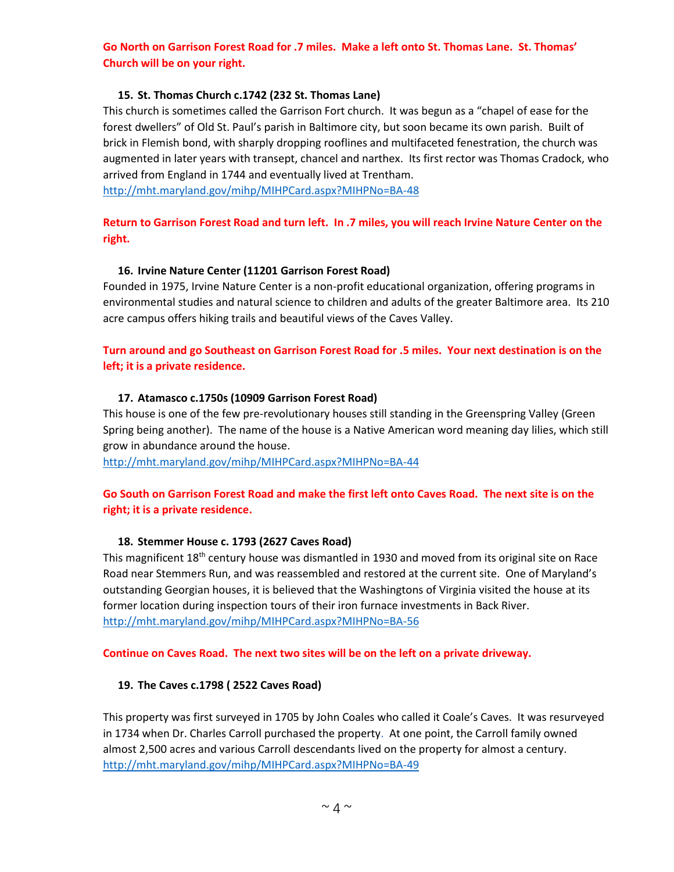# **Go North on Garrison Forest Road for .7 miles. Make a left onto St. Thomas Lane. St. Thomas' Church will be on your right.**

#### **15. St. Thomas Church c.1742 (232 St. Thomas Lane)**

This church is sometimes called the Garrison Fort church. It was begun as a "chapel of ease for the forest dwellers" of Old St. Paul's parish in Baltimore city, but soon became its own parish. Built of brick in Flemish bond, with sharply dropping rooflines and multifaceted fenestration, the church was augmented in later years with transept, chancel and narthex. Its first rector was Thomas Cradock, who arrived from England in 1744 and eventually lived at Trentham.

<http://mht.maryland.gov/mihp/MIHPCard.aspx?MIHPNo=BA-48>

# **Return to Garrison Forest Road and turn left. In .7 miles, you will reach Irvine Nature Center on the right.**

# **16. Irvine Nature Center (11201 Garrison Forest Road)**

Founded in 1975, Irvine Nature Center is a non-profit educational organization, offering programs in environmental studies and natural science to children and adults of the greater Baltimore area. Its 210 acre campus offers hiking trails and beautiful views of the Caves Valley.

# **Turn around and go Southeast on Garrison Forest Road for .5 miles. Your next destination is on the left; it is a private residence.**

#### **17. Atamasco c.1750s (10909 Garrison Forest Road)**

This house is one of the few pre-revolutionary houses still standing in the Greenspring Valley (Green Spring being another). The name of the house is a Native American word meaning day lilies, which still grow in abundance around the house.

<http://mht.maryland.gov/mihp/MIHPCard.aspx?MIHPNo=BA-44>

# **Go South on Garrison Forest Road and make the first left onto Caves Road. The next site is on the right; it is a private residence.**

#### **18. Stemmer House c. 1793 (2627 Caves Road)**

This magnificent  $18<sup>th</sup>$  century house was dismantled in 1930 and moved from its original site on Race Road near Stemmers Run, and was reassembled and restored at the current site. One of Maryland's outstanding Georgian houses, it is believed that the Washingtons of Virginia visited the house at its former location during inspection tours of their iron furnace investments in Back River. <http://mht.maryland.gov/mihp/MIHPCard.aspx?MIHPNo=BA-56>

#### **Continue on Caves Road. The next two sites will be on the left on a private driveway.**

#### **19. The Caves c.1798 ( 2522 Caves Road)**

This property was first surveyed in 1705 by John Coales who called it Coale's Caves. It was resurveyed in 1734 when Dr. Charles Carroll purchased the property. At one point, the Carroll family owned almost 2,500 acres and various Carroll descendants lived on the property for almost a century. <http://mht.maryland.gov/mihp/MIHPCard.aspx?MIHPNo=BA-49>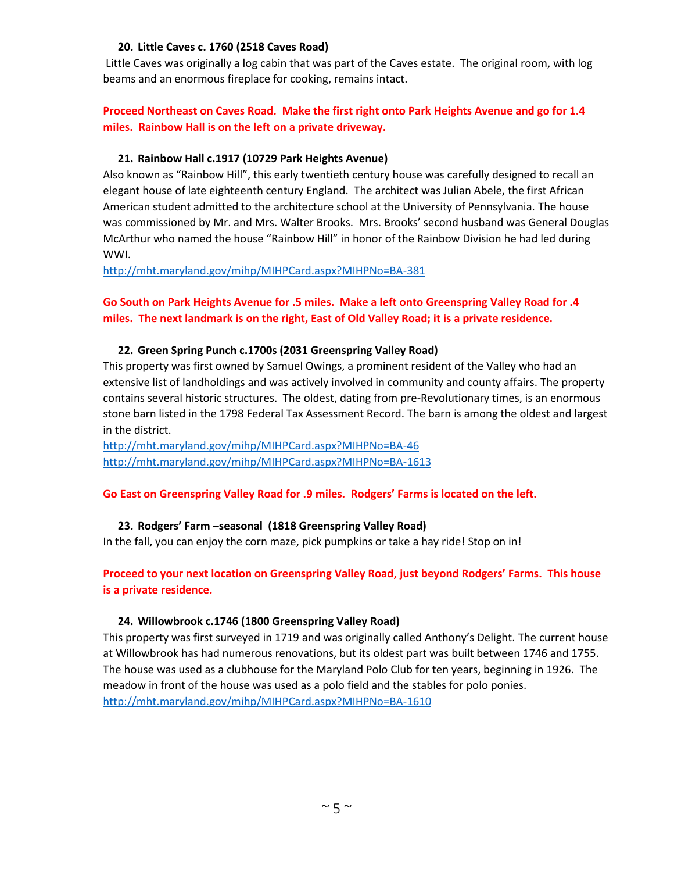#### **20. Little Caves c. 1760 (2518 Caves Road)**

Little Caves was originally a log cabin that was part of the Caves estate. The original room, with log beams and an enormous fireplace for cooking, remains intact.

# **Proceed Northeast on Caves Road. Make the first right onto Park Heights Avenue and go for 1.4 miles. Rainbow Hall is on the left on a private driveway.**

#### **21. Rainbow Hall c.1917 (10729 Park Heights Avenue)**

Also known as "Rainbow Hill", this early twentieth century house was carefully designed to recall an elegant house of late eighteenth century England. The architect was Julian Abele, the first African American student admitted to the architecture school at the University of Pennsylvania. The house was commissioned by Mr. and Mrs. Walter Brooks. Mrs. Brooks' second husband was General Douglas McArthur who named the house "Rainbow Hill" in honor of the Rainbow Division he had led during WWI.

<http://mht.maryland.gov/mihp/MIHPCard.aspx?MIHPNo=BA-381>

# **Go South on Park Heights Avenue for .5 miles. Make a left onto Greenspring Valley Road for .4 miles. The next landmark is on the right, East of Old Valley Road; it is a private residence.**

#### **22. Green Spring Punch c.1700s (2031 Greenspring Valley Road)**

This property was first owned by Samuel Owings, a prominent resident of the Valley who had an extensive list of landholdings and was actively involved in community and county affairs. The property contains several historic structures. The oldest, dating from pre-Revolutionary times, is an enormous stone barn listed in the 1798 Federal Tax Assessment Record. The barn is among the oldest and largest in the district.

<http://mht.maryland.gov/mihp/MIHPCard.aspx?MIHPNo=BA-46> <http://mht.maryland.gov/mihp/MIHPCard.aspx?MIHPNo=BA-1613>

# **Go East on Greenspring Valley Road for .9 miles. Rodgers' Farms is located on the left.**

#### **23. Rodgers' Farm –seasonal (1818 Greenspring Valley Road)**

In the fall, you can enjoy the corn maze, pick pumpkins or take a hay ride! Stop on in!

**Proceed to your next location on Greenspring Valley Road, just beyond Rodgers' Farms. This house is a private residence.**

#### **24. Willowbrook c.1746 (1800 Greenspring Valley Road)**

This property was first surveyed in 1719 and was originally called Anthony's Delight. The current house at Willowbrook has had numerous renovations, but its oldest part was built between 1746 and 1755. The house was used as a clubhouse for the Maryland Polo Club for ten years, beginning in 1926. The meadow in front of the house was used as a polo field and the stables for polo ponies. <http://mht.maryland.gov/mihp/MIHPCard.aspx?MIHPNo=BA-1610>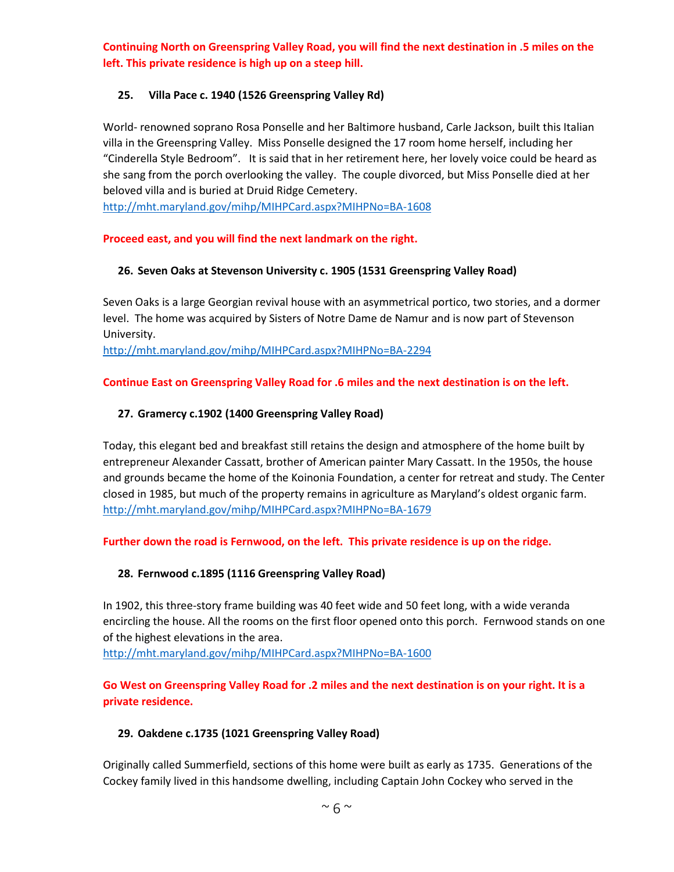**Continuing North on Greenspring Valley Road, you will find the next destination in .5 miles on the left. This private residence is high up on a steep hill.**

# **25. Villa Pace c. 1940 (1526 Greenspring Valley Rd)**

World- renowned soprano Rosa Ponselle and her Baltimore husband, Carle Jackson, built this Italian villa in the Greenspring Valley. Miss Ponselle designed the 17 room home herself, including her "Cinderella Style Bedroom". It is said that in her retirement here, her lovely voice could be heard as she sang from the porch overlooking the valley. The couple divorced, but Miss Ponselle died at her beloved villa and is buried at Druid Ridge Cemetery.

<http://mht.maryland.gov/mihp/MIHPCard.aspx?MIHPNo=BA-1608>

# **Proceed east, and you will find the next landmark on the right.**

# **26. Seven Oaks at Stevenson University c. 1905 (1531 Greenspring Valley Road)**

Seven Oaks is a large Georgian revival house with an asymmetrical portico, two stories, and a dormer level. The home was acquired by Sisters of Notre Dame de Namur and is now part of Stevenson University.

<http://mht.maryland.gov/mihp/MIHPCard.aspx?MIHPNo=BA-2294>

#### **Continue East on Greenspring Valley Road for .6 miles and the next destination is on the left.**

#### **27. Gramercy c.1902 (1400 Greenspring Valley Road)**

Today, this elegant bed and breakfast still retains the design and atmosphere of the home built by entrepreneur Alexander Cassatt, brother of American painter Mary Cassatt. In the 1950s, the house and grounds became the home of the Koinonia Foundation, a center for retreat and study. The Center closed in 1985, but much of the property remains in agriculture as Maryland's oldest organic farm. <http://mht.maryland.gov/mihp/MIHPCard.aspx?MIHPNo=BA-1679>

# **Further down the road is Fernwood, on the left. This private residence is up on the ridge.**

# **28. Fernwood c.1895 (1116 Greenspring Valley Road)**

In 1902, this three-story frame building was 40 feet wide and 50 feet long, with a wide veranda encircling the house. All the rooms on the first floor opened onto this porch. Fernwood stands on one of the highest elevations in the area.

<http://mht.maryland.gov/mihp/MIHPCard.aspx?MIHPNo=BA-1600>

# **Go West on Greenspring Valley Road for .2 miles and the next destination is on your right. It is a private residence.**

# **29. Oakdene c.1735 (1021 Greenspring Valley Road)**

Originally called Summerfield, sections of this home were built as early as 1735. Generations of the Cockey family lived in this handsome dwelling, including Captain John Cockey who served in the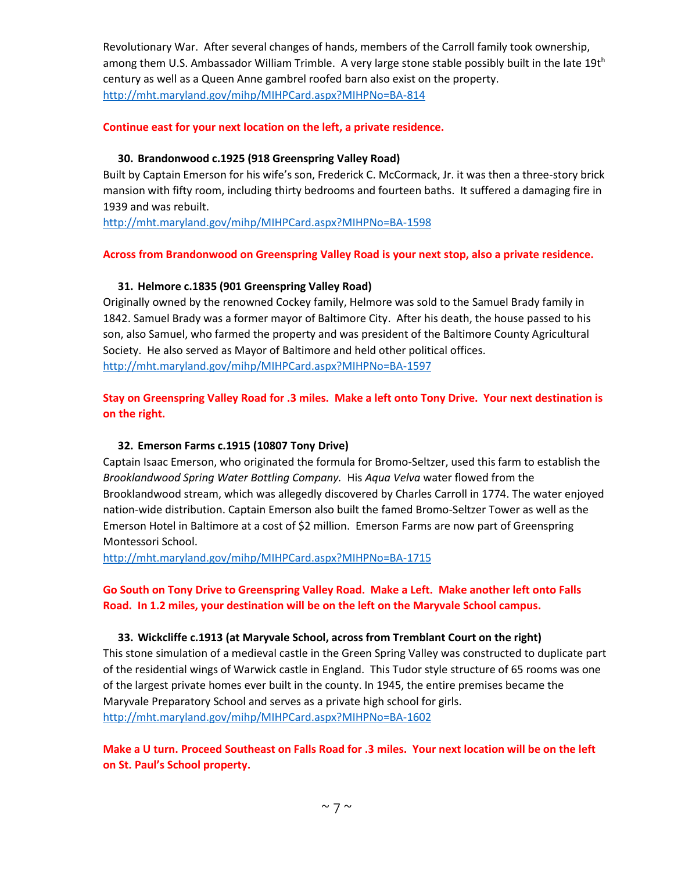Revolutionary War. After several changes of hands, members of the Carroll family took ownership, among them U.S. Ambassador William Trimble. A very large stone stable possibly built in the late 19th century as well as a Queen Anne gambrel roofed barn also exist on the property. <http://mht.maryland.gov/mihp/MIHPCard.aspx?MIHPNo=BA-814>

#### **Continue east for your next location on the left, a private residence.**

#### **30. Brandonwood c.1925 (918 Greenspring Valley Road)**

Built by Captain Emerson for his wife's son, Frederick C. McCormack, Jr. it was then a three-story brick mansion with fifty room, including thirty bedrooms and fourteen baths. It suffered a damaging fire in 1939 and was rebuilt.

<http://mht.maryland.gov/mihp/MIHPCard.aspx?MIHPNo=BA-1598>

#### **Across from Brandonwood on Greenspring Valley Road is your next stop, also a private residence.**

#### **31. Helmore c.1835 (901 Greenspring Valley Road)**

Originally owned by the renowned Cockey family, Helmore was sold to the Samuel Brady family in 1842. Samuel Brady was a former mayor of Baltimore City. After his death, the house passed to his son, also Samuel, who farmed the property and was president of the Baltimore County Agricultural Society. He also served as Mayor of Baltimore and held other political offices. <http://mht.maryland.gov/mihp/MIHPCard.aspx?MIHPNo=BA-1597>

# **Stay on Greenspring Valley Road for .3 miles. Make a left onto Tony Drive. Your next destination is on the right.**

# **32. Emerson Farms c.1915 (10807 Tony Drive)**

Captain Isaac Emerson, who originated the formula for Bromo-Seltzer, used this farm to establish the *Brooklandwood Spring Water Bottling Company.* His *Aqua Velva* water flowed from the Brooklandwood stream, which was allegedly discovered by Charles Carroll in 1774. The water enjoyed nation-wide distribution. Captain Emerson also built the famed Bromo-Seltzer Tower as well as the Emerson Hotel in Baltimore at a cost of \$2 million. Emerson Farms are now part of Greenspring Montessori School.

<http://mht.maryland.gov/mihp/MIHPCard.aspx?MIHPNo=BA-1715>

# **Go South on Tony Drive to Greenspring Valley Road. Make a Left. Make another left onto Falls Road. In 1.2 miles, your destination will be on the left on the Maryvale School campus.**

#### **33. Wickcliffe c.1913 (at Maryvale School, across from Tremblant Court on the right)**

This stone simulation of a medieval castle in the Green Spring Valley was constructed to duplicate part of the residential wings of Warwick castle in England. This Tudor style structure of 65 rooms was one of the largest private homes ever built in the county. In 1945, the entire premises became the Maryvale Preparatory School and serves as a private high school for girls. <http://mht.maryland.gov/mihp/MIHPCard.aspx?MIHPNo=BA-1602>

**Make a U turn. Proceed Southeast on Falls Road for .3 miles. Your next location will be on the left on St. Paul's School property.**